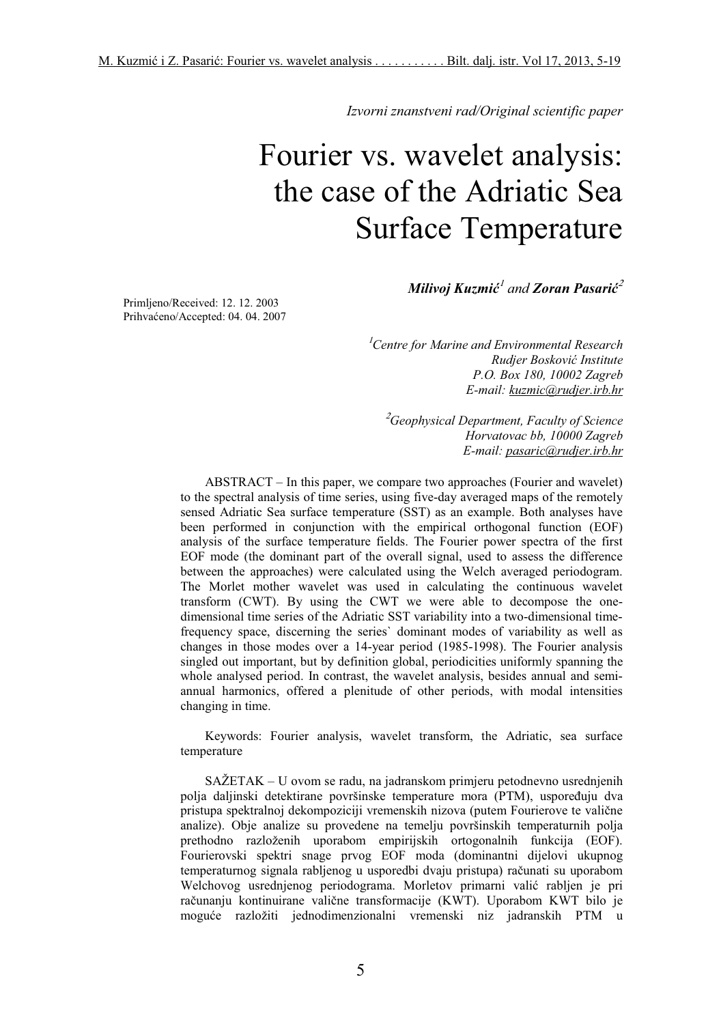*Izvorni znanstveni rad/Original scientific paper*

# Fourier vs. wavelet analysis: the case of the Adriatic Sea Surface Temperature

*Milivoj Kuzmi-* <sup>1</sup> *and Zoran Pasari-* 2

Primljeno/Received: 12. 12. 2003 Prihvaćeno/Accepted: 04. 04. 2007

> <sup>1</sup>*Centre for Marine and Environmental Research Rudjer Boskovi Institute P.O. Box 180, 10002 Zagreb E-mail: kuzmic@rudjer.irb.hr*

<sup>2</sup> *Geophysical Department, Faculty of Science Horvatovac bb, 10000 Zagreb E-mail: pasaric@rudjer.irb.hr*

ABSTRACT – In this paper, we compare two approaches (Fourier and wavelet) to the spectral analysis of time series, using five-day averaged maps of the remotely sensed Adriatic Sea surface temperature (SST) as an example. Both analyses have been performed in conjunction with the empirical orthogonal function (EOF) analysis of the surface temperature fields. The Fourier power spectra of the first EOF mode (the dominant part of the overall signal, used to assess the difference between the approaches) were calculated using the Welch averaged periodogram. The Morlet mother wavelet was used in calculating the continuous wavelet transform (CWT). By using the CWT we were able to decompose the onedimensional time series of the Adriatic SST variability into a two-dimensional timefrequency space, discerning the series` dominant modes of variability as well as changes in those modes over a 14-year period (1985-1998). The Fourier analysis singled out important, but by definition global, periodicities uniformly spanning the whole analysed period. In contrast, the wavelet analysis, besides annual and semiannual harmonics, offered a plenitude of other periods, with modal intensities changing in time.

Keywords: Fourier analysis, wavelet transform, the Adriatic, sea surface temperature

SAŽETAK – U ovom se radu, na jadranskom primjeru petodnevno usrednjenih polja daljinski detektirane površinske temperature mora (PTM), uspoređuju dva pristupa spektralnoj dekompoziciji vremenskih nizova (putem Fourierove te valične analize). Obje analize su provedene na temelju površinskih temperaturnih polja prethodno razloženih uporabom empirijskih ortogonalnih funkcija (EOF). Fourierovski spektri snage prvog EOF moda (dominantni dijelovi ukupnog temperaturnog signala rabljenog u usporedbi dvaju pristupa) računati su uporabom Welchovog usrednjenog periodograma. Morletov primarni valić rabljen je pri računanju kontinuirane valične transformacije (KWT). Uporabom KWT bilo je mogue razložiti jednodimenzionalni vremenski niz jadranskih PTM u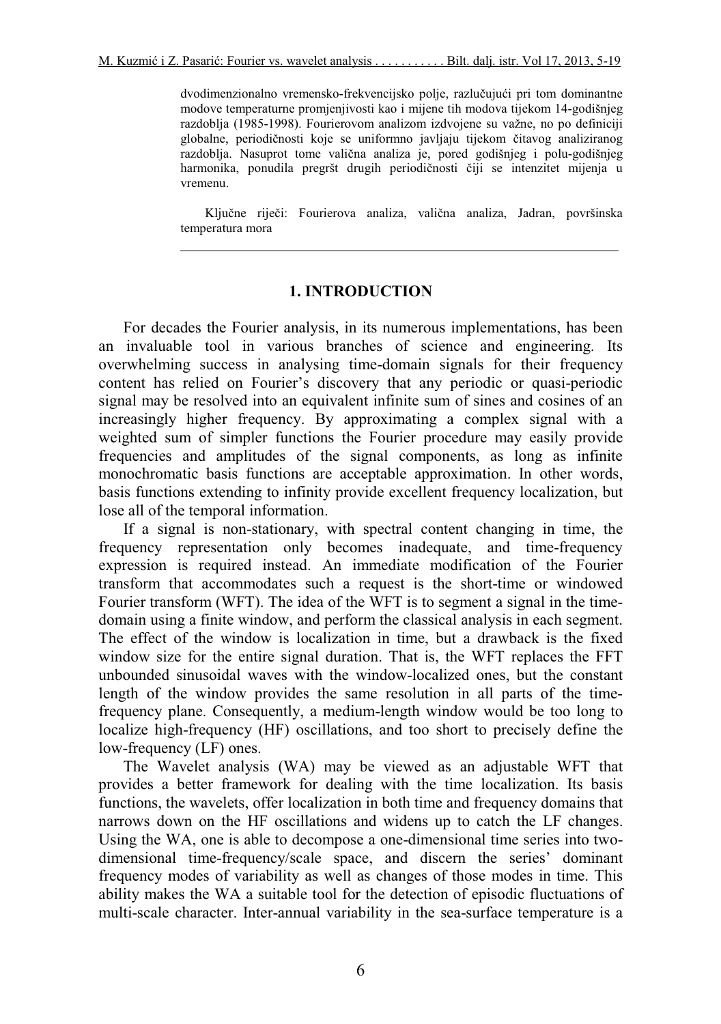dvodimenzionalno vremensko-frekvencijsko polje, razlučujući pri tom dominantne modove temperaturne promjenjivosti kao i mijene tih modova tijekom 14-godišnjeg razdoblja (1985-1998). Fourierovom analizom izdvojene su važne, no po definiciji globalne, periodičnosti koje se uniformno javljaju tijekom čitavog analiziranog razdoblja. Nasuprot tome valična analiza je, pored godišnjeg i polu-godišnjeg harmonika, ponudila pregršt drugih periodičnosti čiji se intenzitet mijenja u vremenu.

Ključne riječi: Fourierova analiza, valična analiza, Jadran, površinska temperatura mora

### **1. INTRODUCTION**

For decades the Fourier analysis, in its numerous implementations, has been an invaluable tool in various branches of science and engineering. Its overwhelming success in analysing time-domain signals for their frequency content has relied on Fourier's discovery that any periodic or quasi-periodic signal may be resolved into an equivalent infinite sum of sines and cosines of an increasingly higher frequency. By approximating a complex signal with a weighted sum of simpler functions the Fourier procedure may easily provide frequencies and amplitudes of the signal components, as long as infinite monochromatic basis functions are acceptable approximation. In other words, basis functions extending to infinity provide excellent frequency localization, but lose all of the temporal information.

If a signal is non-stationary, with spectral content changing in time, the frequency representation only becomes inadequate, and time-frequency expression is required instead. An immediate modification of the Fourier transform that accommodates such a request is the short-time or windowed Fourier transform (WFT). The idea of the WFT is to segment a signal in the timedomain using a finite window, and perform the classical analysis in each segment. The effect of the window is localization in time, but a drawback is the fixed window size for the entire signal duration. That is, the WFT replaces the FFT unbounded sinusoidal waves with the window-localized ones, but the constant length of the window provides the same resolution in all parts of the timefrequency plane. Consequently, a medium-length window would be too long to localize high-frequency (HF) oscillations, and too short to precisely define the low-frequency (LF) ones.

The Wavelet analysis (WA) may be viewed as an adjustable WFT that provides a better framework for dealing with the time localization. Its basis functions, the wavelets, offer localization in both time and frequency domains that narrows down on the HF oscillations and widens up to catch the LF changes. Using the WA, one is able to decompose a one-dimensional time series into twodimensional time-frequency/scale space, and discern the series' dominant frequency modes of variability as well as changes of those modes in time. This ability makes the WA a suitable tool for the detection of episodic fluctuations of multi-scale character. Inter-annual variability in the sea-surface temperature is a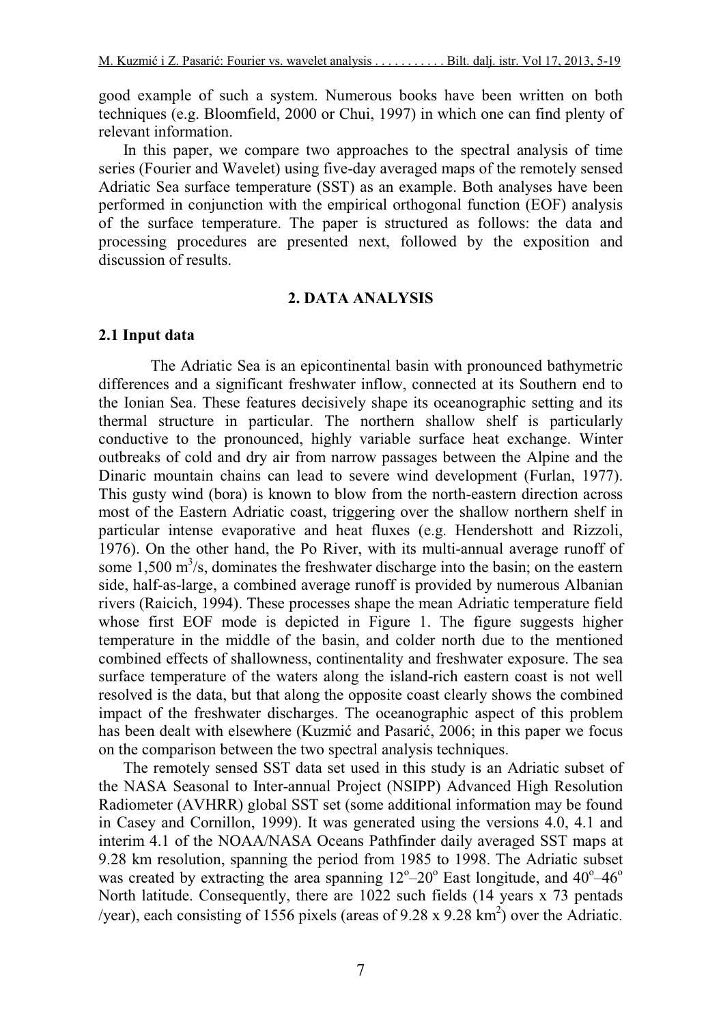good example of such a system. Numerous books have been written on both techniques (e.g. Bloomfield, 2000 or Chui, 1997) in which one can find plenty of relevant information.

In this paper, we compare two approaches to the spectral analysis of time series (Fourier and Wavelet) using five-day averaged maps of the remotely sensed Adriatic Sea surface temperature (SST) as an example. Both analyses have been performed in conjunction with the empirical orthogonal function (EOF) analysis of the surface temperature. The paper is structured as follows: the data and processing procedures are presented next, followed by the exposition and discussion of results.

### **2. DATA ANALYSIS**

### **2.1 Input data**

The Adriatic Sea is an epicontinental basin with pronounced bathymetric differences and a significant freshwater inflow, connected at its Southern end to the Ionian Sea. These features decisively shape its oceanographic setting and its thermal structure in particular. The northern shallow shelf is particularly conductive to the pronounced, highly variable surface heat exchange. Winter outbreaks of cold and dry air from narrow passages between the Alpine and the Dinaric mountain chains can lead to severe wind development (Furlan, 1977). This gusty wind (bora) is known to blow from the north-eastern direction across most of the Eastern Adriatic coast, triggering over the shallow northern shelf in particular intense evaporative and heat fluxes (e.g. Hendershott and Rizzoli, 1976). On the other hand, the Po River, with its multi-annual average runoff of some 1,500  $\text{m}^3$ /s, dominates the freshwater discharge into the basin; on the eastern side, half-as-large, a combined average runoff is provided by numerous Albanian rivers (Raicich, 1994). These processes shape the mean Adriatic temperature field whose first EOF mode is depicted in Figure 1. The figure suggests higher temperature in the middle of the basin, and colder north due to the mentioned combined effects of shallowness, continentality and freshwater exposure. The sea surface temperature of the waters along the island-rich eastern coast is not well resolved is the data, but that along the opposite coast clearly shows the combined impact of the freshwater discharges. The oceanographic aspect of this problem has been dealt with elsewhere (Kuzmić and Pasarić, 2006; in this paper we focus on the comparison between the two spectral analysis techniques.

The remotely sensed SST data set used in this study is an Adriatic subset of the NASA Seasonal to Inter-annual Project (NSIPP) Advanced High Resolution Radiometer (AVHRR) global SST set (some additional information may be found in Casey and Cornillon, 1999). It was generated using the versions 4.0, 4.1 and interim 4.1 of the NOAA/NASA Oceans Pathfinder daily averaged SST maps at 9.28 km resolution, spanning the period from 1985 to 1998. The Adriatic subset was created by extracting the area spanning  $12^{\circ}-20^{\circ}$  East longitude, and  $40^{\circ}-46^{\circ}$ North latitude. Consequently, there are 1022 such fields (14 years x 73 pentads /year), each consisting of 1556 pixels (areas of 9.28 x 9.28 km<sup>2</sup>) over the Adriatic.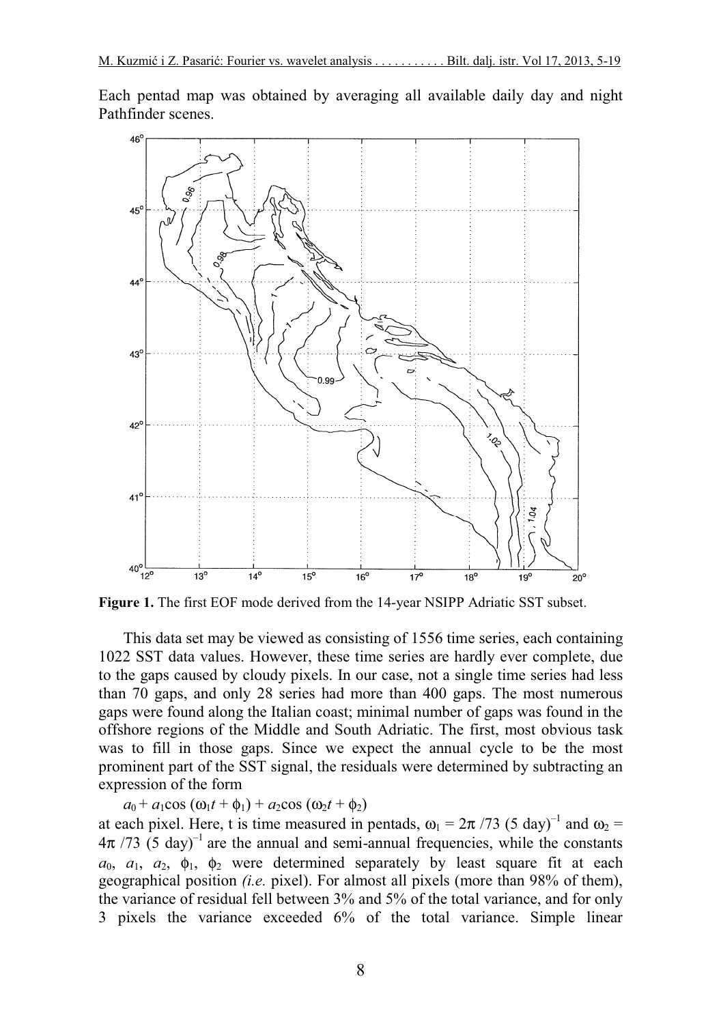Each pentad map was obtained by averaging all available daily day and night Pathfinder scenes.



**Figure 1.** The first EOF mode derived from the 14-year NSIPP Adriatic SST subset.

This data set may be viewed as consisting of 1556 time series, each containing 1022 SST data values. However, these time series are hardly ever complete, due to the gaps caused by cloudy pixels. In our case, not a single time series had less than 70 gaps, and only 28 series had more than 400 gaps. The most numerous gaps were found along the Italian coast; minimal number of gaps was found in the offshore regions of the Middle and South Adriatic. The first, most obvious task was to fill in those gaps. Since we expect the annual cycle to be the most prominent part of the SST signal, the residuals were determined by subtracting an expression of the form

 $a_0 + a_1 \cos (\omega_1 t + \phi_1) + a_2 \cos (\omega_2 t + \phi_2)$ 

at each pixel. Here, t is time measured in pentads,  $\omega_1 = 2\pi / 73$  (5 day)<sup>-1</sup> and  $\omega_2 =$  $4\pi$  /73 (5 day)<sup>-1</sup> are the annual and semi-annual frequencies, while the constants  $a_0$ ,  $a_1$ ,  $a_2$ ,  $\phi_1$ ,  $\phi_2$  were determined separately by least square fit at each geographical position *(i.e.* pixel). For almost all pixels (more than 98% of them), the variance of residual fell between 3% and 5% of the total variance, and for only 3 pixels the variance exceeded 6% of the total variance. Simple linear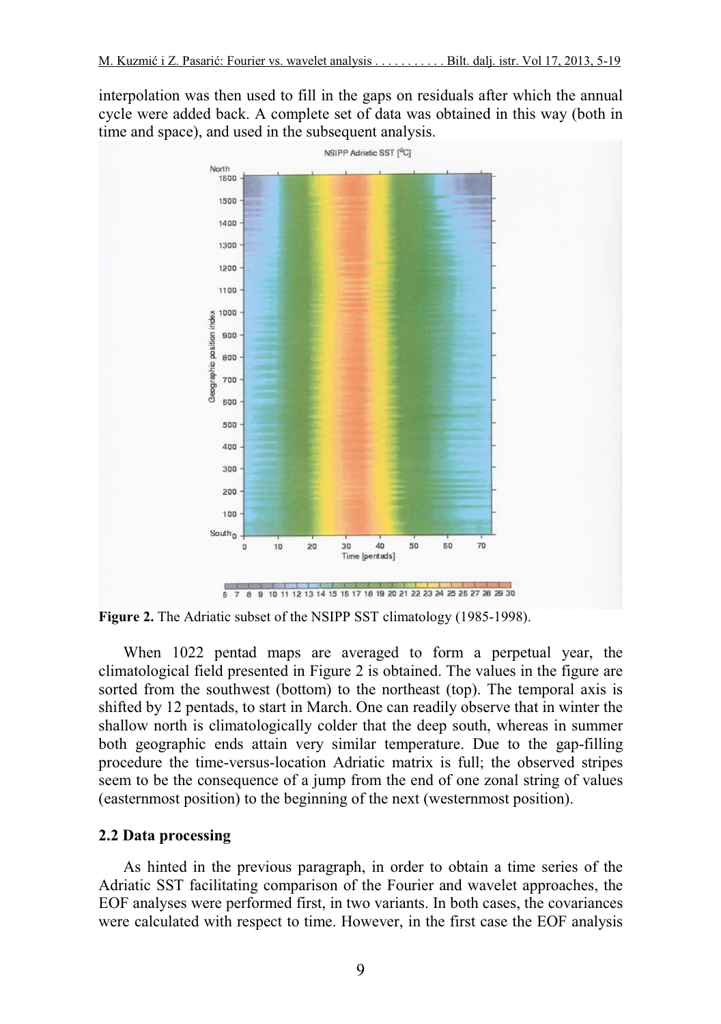interpolation was then used to fill in the gaps on residuals after which the annual cycle were added back. A complete set of data was obtained in this way (both in time and space), and used in the subsequent analysis.



**Figure 2.** The Adriatic subset of the NSIPP SST climatology (1985-1998).

When 1022 pentad maps are averaged to form a perpetual year, the climatological field presented in Figure 2 is obtained. The values in the figure are sorted from the southwest (bottom) to the northeast (top). The temporal axis is shifted by 12 pentads, to start in March. One can readily observe that in winter the shallow north is climatologically colder that the deep south, whereas in summer both geographic ends attain very similar temperature. Due to the gap-filling procedure the time-versus-location Adriatic matrix is full; the observed stripes seem to be the consequence of a jump from the end of one zonal string of values (easternmost position) to the beginning of the next (westernmost position).

#### **2.2 Data processing**

As hinted in the previous paragraph, in order to obtain a time series of the Adriatic SST facilitating comparison of the Fourier and wavelet approaches, the EOF analyses were performed first, in two variants. In both cases, the covariances were calculated with respect to time. However, in the first case the EOF analysis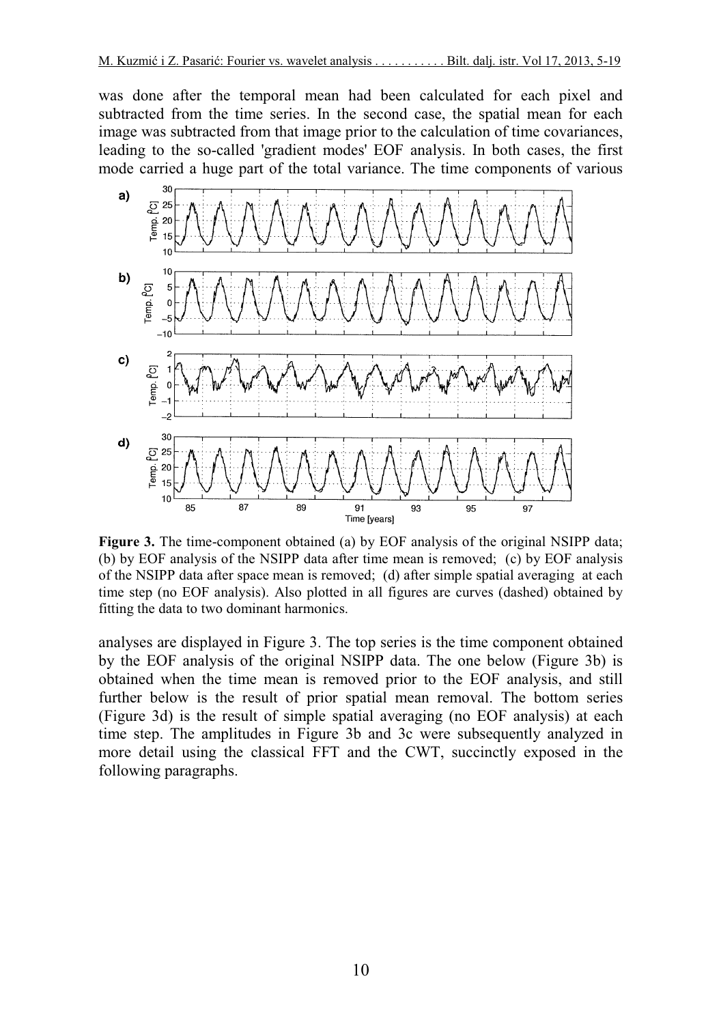was done after the temporal mean had been calculated for each pixel and subtracted from the time series. In the second case, the spatial mean for each image was subtracted from that image prior to the calculation of time covariances, leading to the so-called 'gradient modes' EOF analysis. In both cases, the first mode carried a huge part of the total variance. The time components of various



**Figure 3.** The time-component obtained (a) by EOF analysis of the original NSIPP data; (b) by EOF analysis of the NSIPP data after time mean is removed; (c) by EOF analysis of the NSIPP data after space mean is removed; (d) after simple spatial averaging at each time step (no EOF analysis). Also plotted in all figures are curves (dashed) obtained by fitting the data to two dominant harmonics.

analyses are displayed in Figure 3. The top series is the time component obtained by the EOF analysis of the original NSIPP data. The one below (Figure 3b) is obtained when the time mean is removed prior to the EOF analysis, and still further below is the result of prior spatial mean removal. The bottom series (Figure 3d) is the result of simple spatial averaging (no EOF analysis) at each time step. The amplitudes in Figure 3b and 3c were subsequently analyzed in more detail using the classical FFT and the CWT, succinctly exposed in the following paragraphs.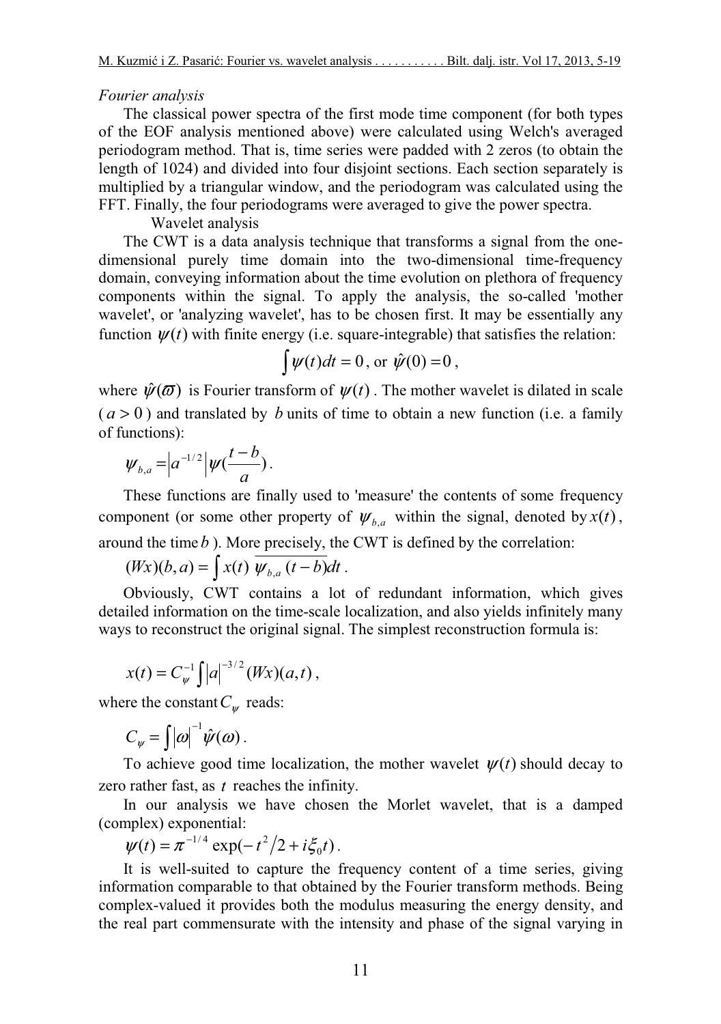# *Fourier analysis*

The classical power spectra of the first mode time component (for both types of the EOF analysis mentioned above) were calculated using Welch's averaged periodogram method. That is, time series were padded with 2 zeros (to obtain the length of 1024) and divided into four disjoint sections. Each section separately is multiplied by a triangular window, and the periodogram was calculated using the FFT. Finally, the four periodograms were averaged to give the power spectra.

# Wavelet analysis

The CWT is a data analysis technique that transforms a signal from the onedimensional purely time domain into the two-dimensional time-frequency domain, conveying information about the time evolution on plethora of frequency components within the signal. To apply the analysis, the so-called 'mother wavelet', or 'analyzing wavelet', has to be chosen first. It may be essentially any function  $\psi(t)$  with finite energy (i.e. square-integrable) that satisfies the relation:

$$
\int \psi(t)dt = 0, \text{ or } \hat{\psi}(0) = 0,
$$

where  $\hat{\psi}(\vec{\omega})$  is Fourier transform of  $\psi(t)$ . The mother wavelet is dilated in scale  $(a > 0)$  and translated by *b* units of time to obtain a new function (i.e. a family of functions):

$$
\psi_{b,a}=\Big|a^{-1/2}\Big|\psi(\frac{t-b}{a})\Big|.
$$

These functions are finally used to 'measure' the contents of some frequency component (or some other property of  $\psi_{b,a}$  within the signal, denoted by  $x(t)$ , around the time*b* ). More precisely, the CWT is defined by the correlation:

$$
(Wx)(b,a) = \int x(t) \overline{\psi_{b,a}(t-b)}dt.
$$

Obviously, CWT contains a lot of redundant information, which gives detailed information on the time-scale localization, and also yields infinitely many ways to reconstruct the original signal. The simplest reconstruction formula is:

$$
x(t) = C_{\psi}^{-1} \int |a|^{-3/2} (Wx)(a,t),
$$

where the constant  $C_{\psi}$  reads:

$$
C_{\psi} = \int |\omega|^{-1} \hat{\psi}(\omega) .
$$

To achieve good time localization, the mother wavelet  $\psi(t)$  should decay to zero rather fast, as *t* reaches the infinity.

In our analysis we have chosen the Morlet wavelet, that is a damped (complex) exponential:

$$
\psi(t) = \pi^{-1/4} \exp(-t^2/2 + i \xi_0 t).
$$

It is well-suited to capture the frequency content of a time series, giving information comparable to that obtained by the Fourier transform methods. Being complex-valued it provides both the modulus measuring the energy density, and the real part commensurate with the intensity and phase of the signal varying in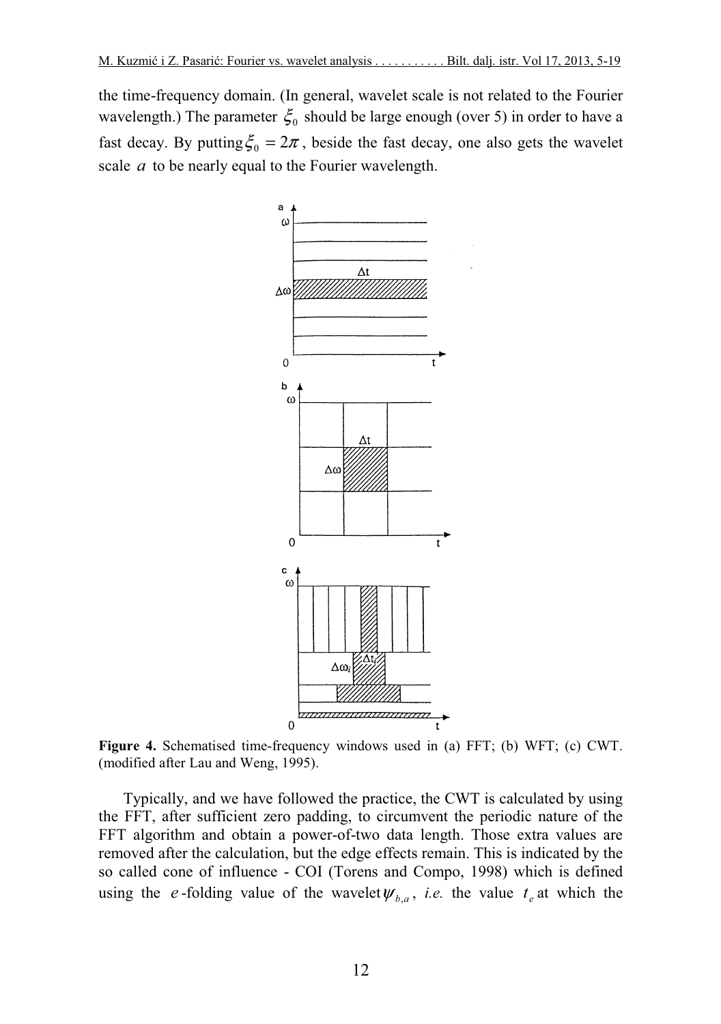the time-frequency domain. (In general, wavelet scale is not related to the Fourier wavelength.) The parameter  $\xi_0$  should be large enough (over 5) in order to have a fast decay. By putting  $\xi_0 = 2\pi$ , beside the fast decay, one also gets the wavelet scale *a* to be nearly equal to the Fourier wavelength.



**Figure 4.** Schematised time-frequency windows used in (a) FFT; (b) WFT; (c) CWT. (modified after Lau and Weng, 1995).

Typically, and we have followed the practice, the CWT is calculated by using the FFT, after sufficient zero padding, to circumvent the periodic nature of the FFT algorithm and obtain a power-of-two data length. Those extra values are removed after the calculation, but the edge effects remain. This is indicated by the so called cone of influence - COI (Torens and Compo, 1998) which is defined using the *e*-folding value of the wavelet  $\psi_{b,a}$ , *i.e.* the value  $t_e$  at which the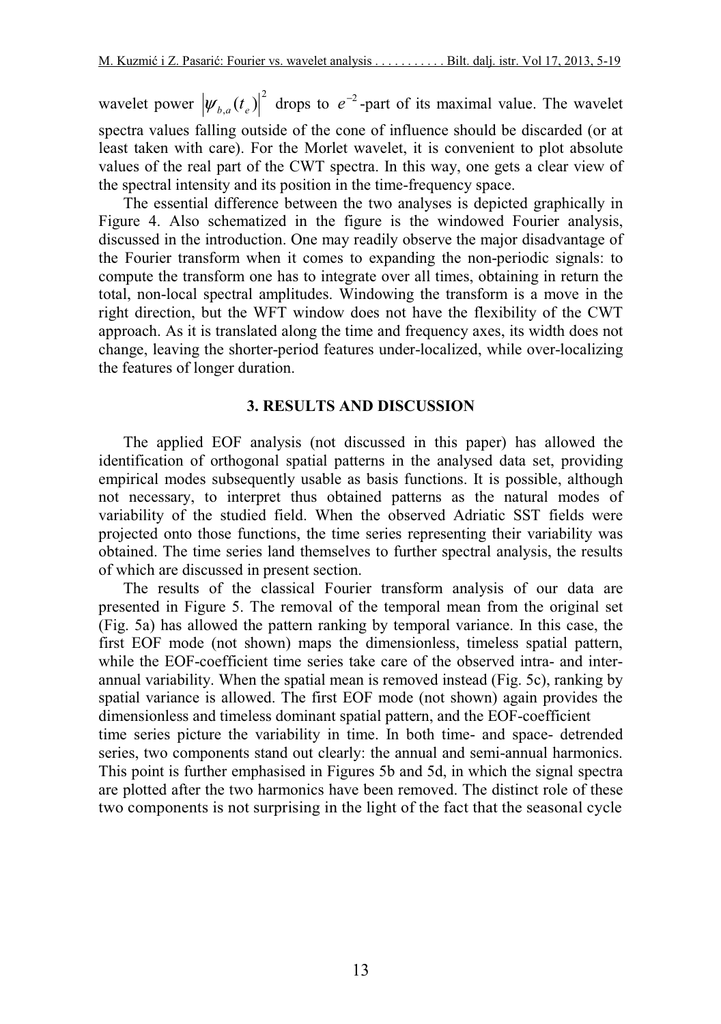wavelet power  $|\psi_{b,a}(t_e)|^2$  drops to  $e^{-2}$ -part of its maximal value. The wavelet spectra values falling outside of the cone of influence should be discarded (or at least taken with care). For the Morlet wavelet, it is convenient to plot absolute values of the real part of the CWT spectra. In this way, one gets a clear view of the spectral intensity and its position in the time-frequency space.

The essential difference between the two analyses is depicted graphically in Figure 4. Also schematized in the figure is the windowed Fourier analysis, discussed in the introduction. One may readily observe the major disadvantage of the Fourier transform when it comes to expanding the non-periodic signals: to compute the transform one has to integrate over all times, obtaining in return the total, non-local spectral amplitudes. Windowing the transform is a move in the right direction, but the WFT window does not have the flexibility of the CWT approach. As it is translated along the time and frequency axes, its width does not change, leaving the shorter-period features under-localized, while over-localizing the features of longer duration.

# **3. RESULTS AND DISCUSSION**

The applied EOF analysis (not discussed in this paper) has allowed the identification of orthogonal spatial patterns in the analysed data set, providing empirical modes subsequently usable as basis functions. It is possible, although not necessary, to interpret thus obtained patterns as the natural modes of variability of the studied field. When the observed Adriatic SST fields were projected onto those functions, the time series representing their variability was obtained. The time series land themselves to further spectral analysis, the results of which are discussed in present section.

The results of the classical Fourier transform analysis of our data are presented in Figure 5. The removal of the temporal mean from the original set (Fig. 5a) has allowed the pattern ranking by temporal variance. In this case, the first EOF mode (not shown) maps the dimensionless, timeless spatial pattern, while the EOF-coefficient time series take care of the observed intra- and interannual variability. When the spatial mean is removed instead (Fig. 5c), ranking by spatial variance is allowed. The first EOF mode (not shown) again provides the dimensionless and timeless dominant spatial pattern, and the EOF-coefficient time series picture the variability in time. In both time- and space- detrended series, two components stand out clearly: the annual and semi-annual harmonics. This point is further emphasised in Figures 5b and 5d, in which the signal spectra are plotted after the two harmonics have been removed. The distinct role of these two components is not surprising in the light of the fact that the seasonal cycle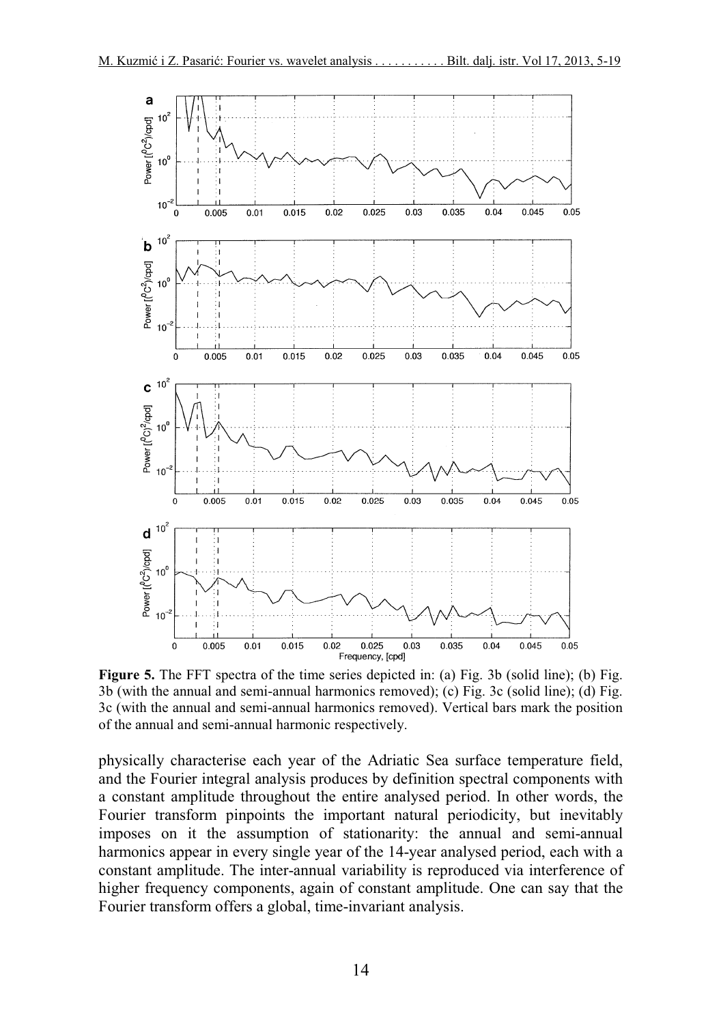

**Figure 5.** The FFT spectra of the time series depicted in: (a) Fig. 3b (solid line); (b) Fig. 3b (with the annual and semi-annual harmonics removed); (c) Fig. 3c (solid line); (d) Fig. 3c (with the annual and semi-annual harmonics removed). Vertical bars mark the position of the annual and semi-annual harmonic respectively.

physically characterise each year of the Adriatic Sea surface temperature field, and the Fourier integral analysis produces by definition spectral components with a constant amplitude throughout the entire analysed period. In other words, the Fourier transform pinpoints the important natural periodicity, but inevitably imposes on it the assumption of stationarity: the annual and semi-annual harmonics appear in every single year of the 14-year analysed period, each with a constant amplitude. The inter-annual variability is reproduced via interference of higher frequency components, again of constant amplitude. One can say that the Fourier transform offers a global, time-invariant analysis.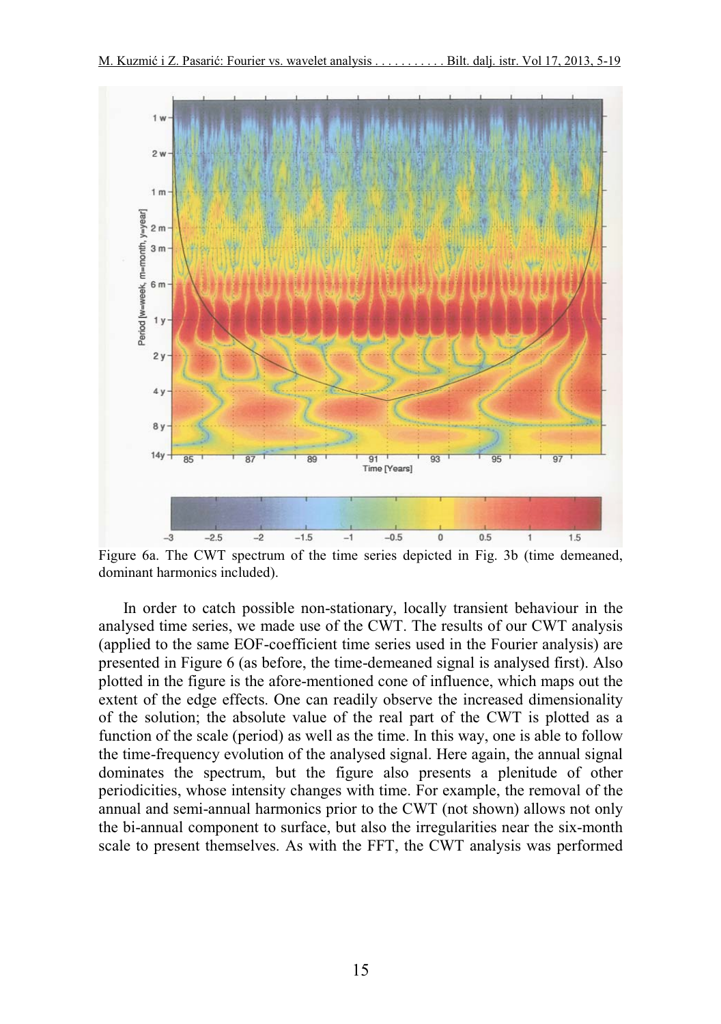

Figure 6a. The CWT spectrum of the time series depicted in Fig. 3b (time demeaned, dominant harmonics included).

In order to catch possible non-stationary, locally transient behaviour in the analysed time series, we made use of the CWT. The results of our CWT analysis (applied to the same EOF-coefficient time series used in the Fourier analysis) are presented in Figure 6 (as before, the time-demeaned signal is analysed first). Also plotted in the figure is the afore-mentioned cone of influence, which maps out the extent of the edge effects. One can readily observe the increased dimensionality of the solution; the absolute value of the real part of the CWT is plotted as a function of the scale (period) as well as the time. In this way, one is able to follow the time-frequency evolution of the analysed signal. Here again, the annual signal dominates the spectrum, but the figure also presents a plenitude of other periodicities, whose intensity changes with time. For example, the removal of the annual and semi-annual harmonics prior to the CWT (not shown) allows not only the bi-annual component to surface, but also the irregularities near the six-month scale to present themselves. As with the FFT, the CWT analysis was performed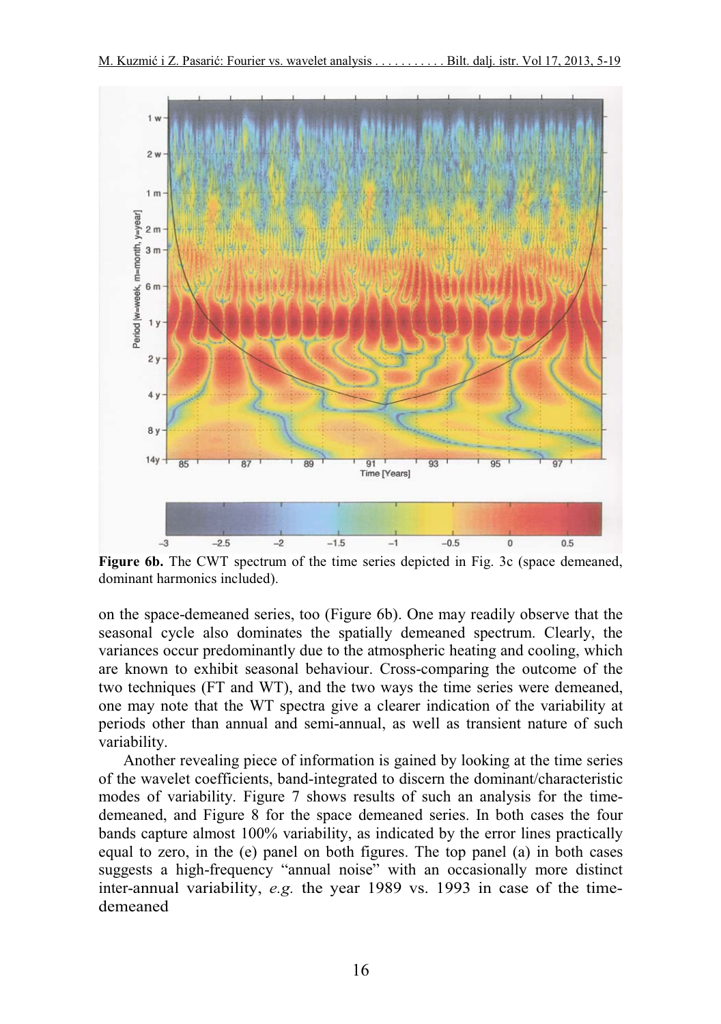

Figure 6b. The CWT spectrum of the time series depicted in Fig. 3c (space demeaned, dominant harmonics included).

on the space-demeaned series, too (Figure 6b). One may readily observe that the seasonal cycle also dominates the spatially demeaned spectrum. Clearly, the variances occur predominantly due to the atmospheric heating and cooling, which are known to exhibit seasonal behaviour. Cross-comparing the outcome of the two techniques (FT and WT), and the two ways the time series were demeaned, one may note that the WT spectra give a clearer indication of the variability at periods other than annual and semi-annual, as well as transient nature of such variability.

Another revealing piece of information is gained by looking at the time series of the wavelet coefficients, band-integrated to discern the dominant/characteristic modes of variability. Figure 7 shows results of such an analysis for the timedemeaned, and Figure 8 for the space demeaned series. In both cases the four bands capture almost 100% variability, as indicated by the error lines practically equal to zero, in the (e) panel on both figures. The top panel (a) in both cases suggests a high-frequency "annual noise" with an occasionally more distinct inter-annual variability, *e.g.* the year 1989 vs. 1993 in case of the timedemeaned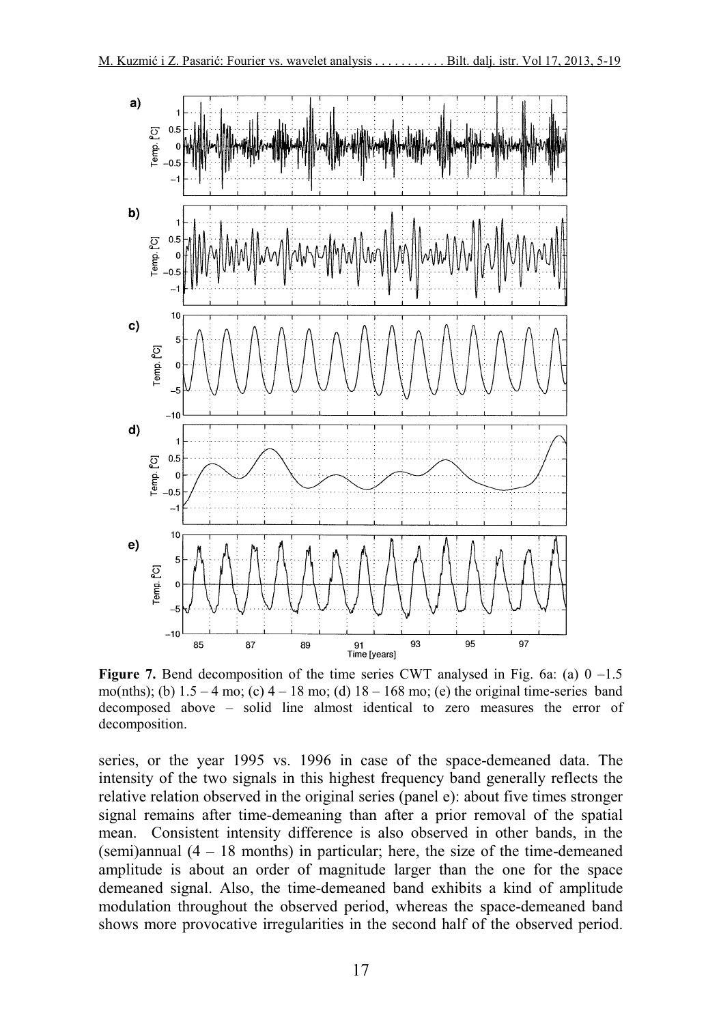

**Figure 7.** Bend decomposition of the time series CWT analysed in Fig. 6a: (a)  $0 -1.5$ mo(nths); (b)  $1.5 - 4$  mo; (c)  $4 - 18$  mo; (d)  $18 - 168$  mo; (e) the original time-series band decomposed above – solid line almost identical to zero measures the error of decomposition.

series, or the year 1995 vs. 1996 in case of the space-demeaned data. The intensity of the two signals in this highest frequency band generally reflects the relative relation observed in the original series (panel e): about five times stronger signal remains after time-demeaning than after a prior removal of the spatial mean. Consistent intensity difference is also observed in other bands, in the (semi)annual (4 – 18 months) in particular; here, the size of the time-demeaned amplitude is about an order of magnitude larger than the one for the space demeaned signal. Also, the time-demeaned band exhibits a kind of amplitude modulation throughout the observed period, whereas the space-demeaned band shows more provocative irregularities in the second half of the observed period.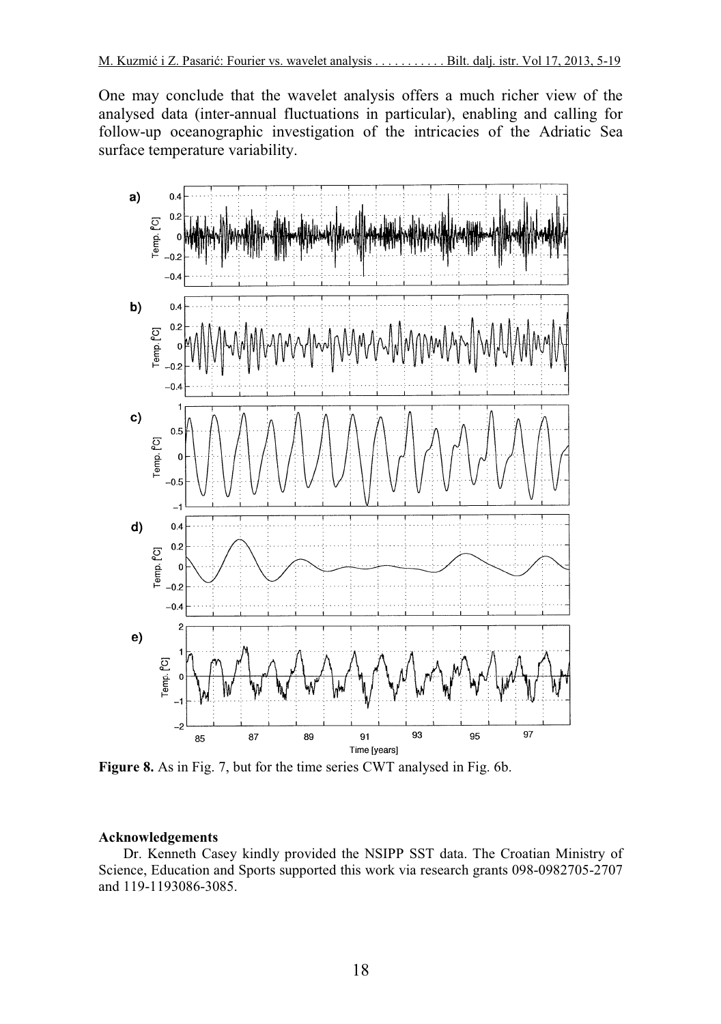One may conclude that the wavelet analysis offers a much richer view of the analysed data (inter-annual fluctuations in particular), enabling and calling for follow-up oceanographic investigation of the intricacies of the Adriatic Sea surface temperature variability.



**Figure 8.** As in Fig. 7, but for the time series CWT analysed in Fig. 6b.

#### **Acknowledgements**

Dr. Kenneth Casey kindly provided the NSIPP SST data. The Croatian Ministry of Science, Education and Sports supported this work via research grants 098-0982705-2707 and 119-1193086-3085.